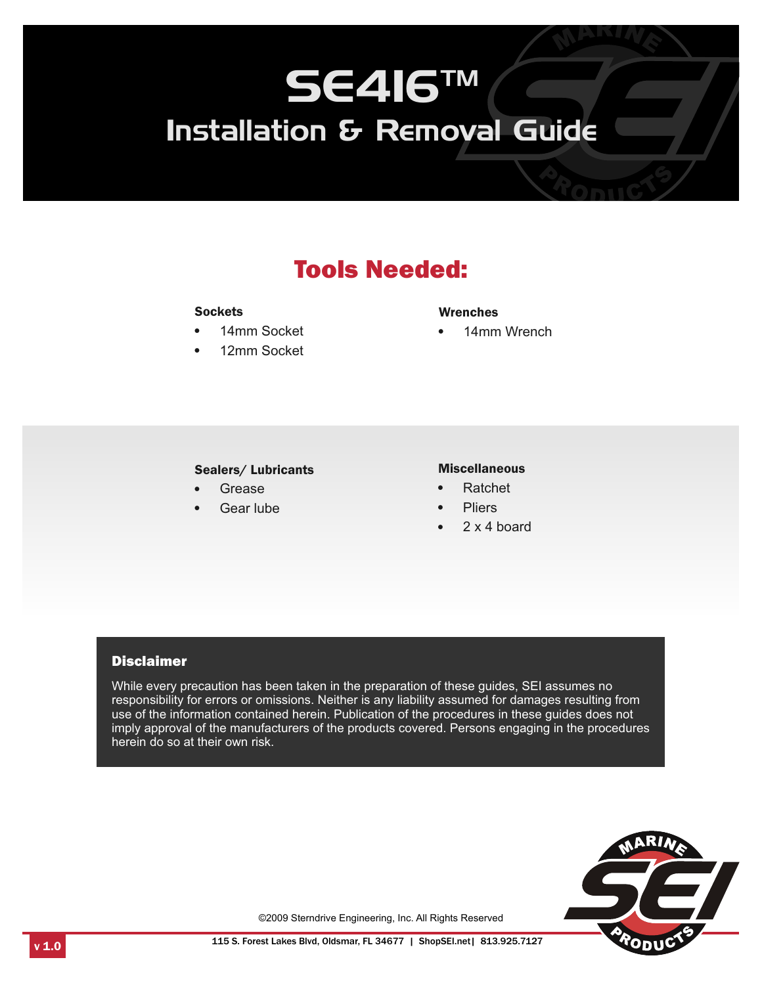## Tools Needed:

#### **Sockets**

- $\bullet$  14mm Socket 12mm Socket Wrenches
- 12mm Socket

• 14mm Wrench

## **Sealers/ Lubricants**<br>• Grease lers/Lubricants Miscellaneous<br>Grease • Ratchet<br>Gear lube • Pliers

- 
- Grease<br>Gear lube

- 
- 
- Pliers 2 x 4 board

#### **Disclaimer**

While every precaution has been taken in the preparation of these guides, SEI assumes no responsibility for errors or omissions. Neither is any liability assumed for damages resulting from use of the information contained herein. Publication of the procedures in these guides does not imply approval of the manufacturers of the products covered. Persons engaging in the procedures herein do so at their own risk.



©2009 Sterndrive Engineering, Inc. All Rights Reserved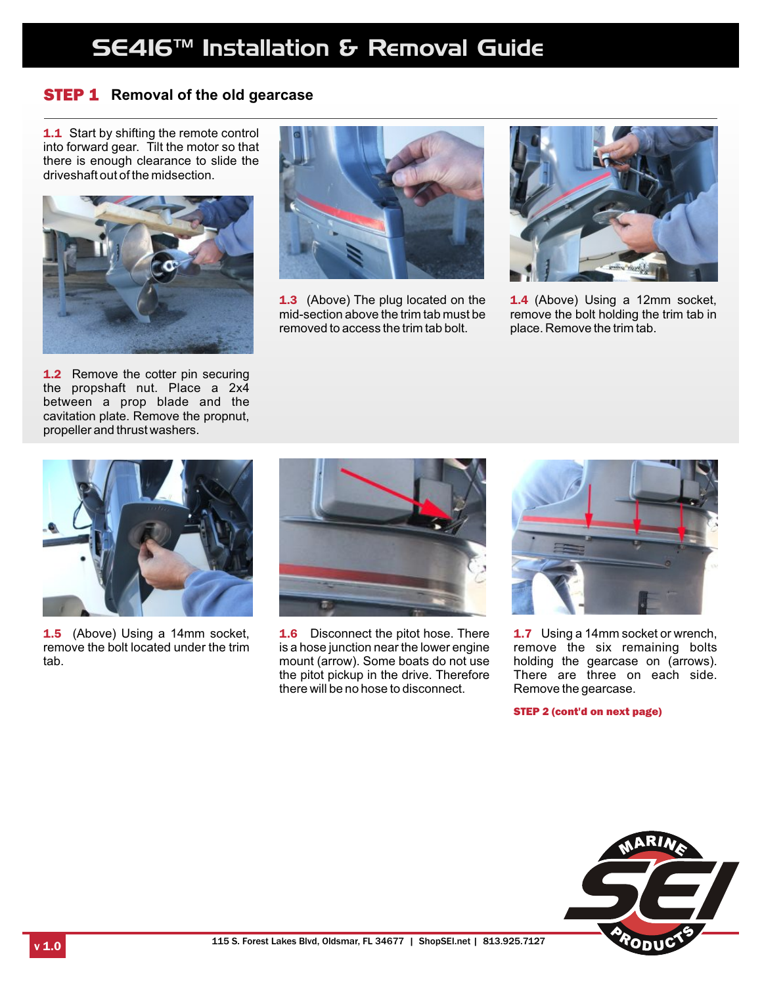### STEP 1 **Removal of the old gearcase**

**1.1** Start by shifting the remote control into forward gear. Tilt the motor so that there is enough clearance to slide the driveshaft out of the midsection.





**1.3** (Above) The plug located on the mid-section above the trim tab must be removed to access the trim tab bolt.



1.4 (Above) Using a 12mm socket, remove the bolt holding the trim tab in place. Remove the trim tab.

**1.2** Remove the cotter pin securing the propshaft nut. Place a 2x4 between a prop blade and the cavitation plate. Remove the propnut, propeller and thrust washers.



**1.5** (Above) Using a 14mm socket, remove the bolt located under the trim tab.



**1.6** Disconnect the pitot hose. There is a hose junction near the lower engine mount (arrow). Some boats do not use the pitot pickup in the drive. Therefore there will be no hose to disconnect.



**1.7** Using a 14mm socket or wrench, remove the six remaining bolts holding the gearcase on (arrows). There are three on each side. Remove the gearcase.

STEP 2 (cont'd on next page)

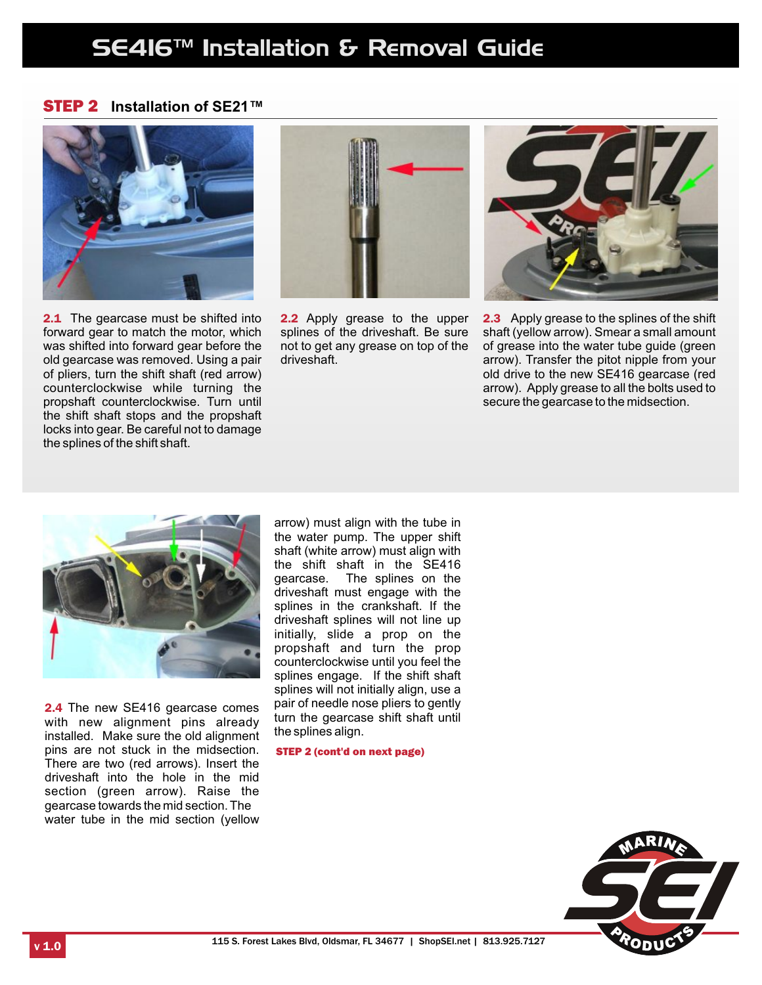#### STEP 2 **Installation of SE21™**



**2.1** The gearcase must be shifted into forward gear to match the motor, which was shifted into forward gear before the old gearcase was removed. Using a pair of pliers, turn the shift shaft (red arrow) counterclockwise while turning the propshaft counterclockwise. Turn until the shift shaft stops and the propshaft locks into gear. Be careful not to damage the splines of the shift shaft.



2.2 Apply grease to the upper splines of the driveshaft. Be sure not to get any grease on top of the driveshaft.



2.3 Apply grease to the splines of the shift shaft (yellow arrow). Smear a small amount of grease into the water tube guide (green arrow). Transfer the pitot nipple from your old drive to the new SE416 gearcase (red arrow). Apply grease to all the bolts used to secure the gearcase to the midsection.



2.4 The new SE416 gearcase comes with new alignment pins already installed. Make sure the old alignment pins are not stuck in the midsection. There are two (red arrows). Insert the driveshaft into the hole in the mid section (green arrow). Raise the gearcase towards the mid section. The water tube in the mid section (yellow

arrow) must align with the tube in the water pump. The upper shift shaft (white arrow) must align with the shift shaft in the SE416 gearcase. The splines on the driveshaft must engage with the splines in the crankshaft. If the driveshaft splines will not line up initially, slide a prop on the propshaft and turn the prop counterclockwise until you feel the splines engage. If the shift shaft splines will not initially align, use a pair of needle nose pliers to gently turn the gearcase shift shaft until the splines align.

STEP 2 (cont'd on next page)